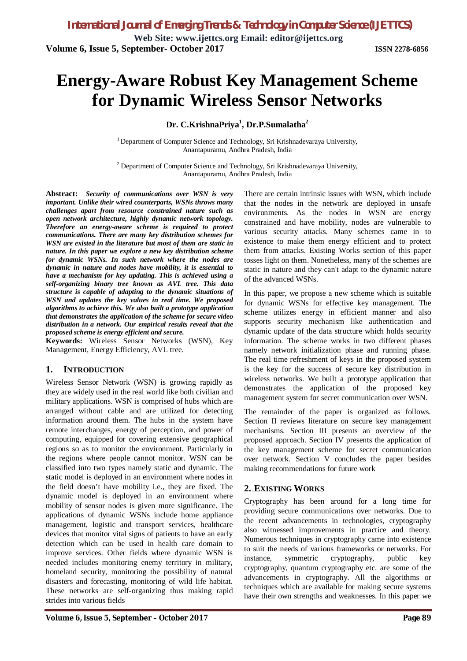# **Energy-Aware Robust Key Management Scheme for Dynamic Wireless Sensor Networks**

**Dr. C.KrishnaPriya<sup>1</sup> , Dr.P.Sumalatha<sup>2</sup>**

<sup>1</sup> Department of Computer Science and Technology, Sri Krishnadevaraya University, Anantapuramu, Andhra Pradesh, India

 $2$  Department of Computer Science and Technology, Sri Krishnadevaraya University, Anantapuramu, Andhra Pradesh, India

**Abstract:** *Security of communications over WSN is very important. Unlike their wired counterparts, WSNs throws many challenges apart from resource constrained nature such as open network architecture, highly dynamic network topology. Therefore an energy-aware scheme is required to protect communications. There are many key distribution schemes for WSN are existed in the literature but most of them are static in nature. In this paper we explore a new key distribution scheme for dynamic WSNs. In such network where the nodes are dynamic in nature and nodes have mobility, it is essential to have a mechanism for key updating. This is achieved using a self-organizing binary tree known as AVL tree. This data structure is capable of adapting to the dynamic situations of WSN and updates the key values in real time. We proposed algorithms to achieve this. We also built a prototype application that demonstrates the application of the scheme for secure video distribution in a network. Our empirical results reveal that the proposed scheme is energy efficient and secure.* 

**Keywords:** Wireless Sensor Networks (WSN), Key Management, Energy Efficiency, AVL tree.

#### **1. INTRODUCTION**

Wireless Sensor Network (WSN) is growing rapidly as they are widely used in the real world like both civilian and military applications. WSN is comprised of hubs which are arranged without cable and are utilized for detecting information around them. The hubs in the system have remote interchanges, energy of perception, and power of computing, equipped for covering extensive geographical regions so as to monitor the environment. Particularly in the regions where people cannot monitor. WSN can be classified into two types namely static and dynamic. The static model is deployed in an environment where nodes in the field doesn't have mobility i.e., they are fixed. The dynamic model is deployed in an environment where mobility of sensor nodes is given more significance. The applications of dynamic WSNs include home appliance management, logistic and transport services, healthcare devices that monitor vital signs of patients to have an early detection which can be used in health care domain to improve services. Other fields where dynamic WSN is needed includes monitoring enemy territory in military, homeland security, monitoring the possibility of natural disasters and forecasting, monitoring of wild life habitat. These networks are self-organizing thus making rapid strides into various fields

There are certain intrinsic issues with WSN, which include that the nodes in the network are deployed in unsafe environments. As the nodes in WSN are energy constrained and have mobility, nodes are vulnerable to various security attacks. Many schemes came in to existence to make them energy efficient and to protect them from attacks. Existing Works section of this paper tosses light on them. Nonetheless, many of the schemes are static in nature and they can't adapt to the dynamic nature of the advanced WSNs.

In this paper, we propose a new scheme which is suitable for dynamic WSNs for effective key management. The scheme utilizes energy in efficient manner and also supports security mechanism like authentication and dynamic update of the data structure which holds security information. The scheme works in two different phases namely network initialization phase and running phase. The real time refreshment of keys in the proposed system is the key for the success of secure key distribution in wireless networks. We built a prototype application that demonstrates the application of the proposed key management system for secret communication over WSN.

The remainder of the paper is organized as follows. Section II reviews literature on secure key management mechanisms. Section III presents an overview of the proposed approach. Section IV presents the application of the key management scheme for secret communication over network. Section V concludes the paper besides making recommendations for future work

### **2.**.**EXISTING WORKS**

Cryptography has been around for a long time for providing secure communications over networks. Due to the recent advancements in technologies, cryptography also witnessed improvements in practice and theory. Numerous techniques in cryptography came into existence to suit the needs of various frameworks or networks. For instance, symmetric cryptography, public key cryptography, quantum cryptography etc. are some of the advancements in cryptography. All the algorithms or techniques which are available for making secure systems have their own strengths and weaknesses. In this paper we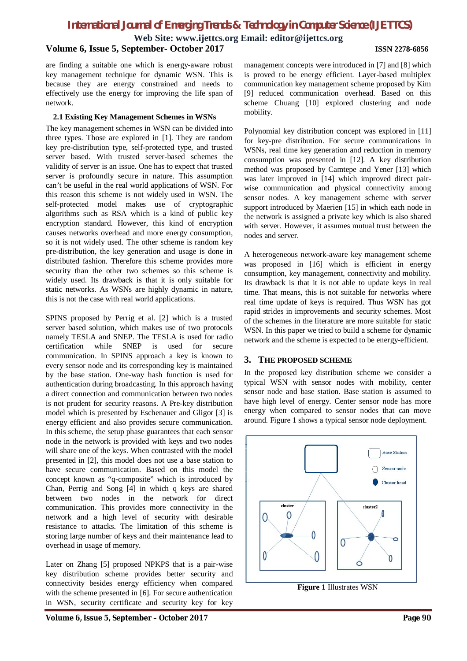**Web Site: www.ijettcs.org Email: editor@ijettcs.org**

#### **Volume 6, Issue 5, September- October 2017 ISSN 2278-6856**

are finding a suitable one which is energy-aware robust key management technique for dynamic WSN. This is because they are energy constrained and needs to effectively use the energy for improving the life span of network.

#### **2.1 Existing Key Management Schemes in WSNs**

The key management schemes in WSN can be divided into three types. Those are explored in [1]. They are random key pre-distribution type, self-protected type, and trusted server based. With trusted server-based schemes the validity of server is an issue. One has to expect that trusted server is profoundly secure in nature. This assumption can't be useful in the real world applications of WSN. For this reason this scheme is not widely used in WSN. The self-protected model makes use of cryptographic algorithms such as RSA which is a kind of public key encryption standard. However, this kind of encryption causes networks overhead and more energy consumption, so it is not widely used. The other scheme is random key pre-distribution, the key generation and usage is done in distributed fashion. Therefore this scheme provides more security than the other two schemes so this scheme is widely used. Its drawback is that it is only suitable for static networks. As WSNs are highly dynamic in nature, this is not the case with real world applications.

SPINS proposed by Perrig et al. [2] which is a trusted server based solution, which makes use of two protocols namely TESLA and SNEP. The TESLA is used for radio certification while SNEP is used for secure communication. In SPINS approach a key is known to every sensor node and its corresponding key is maintained by the base station. One-way hash function is used for authentication during broadcasting. In this approach having a direct connection and communication between two nodes is not prudent for security reasons. A Pre-key distribution model which is presented by Eschenauer and Gligor [3] is energy efficient and also provides secure communication. In this scheme, the setup phase guarantees that each sensor node in the network is provided with keys and two nodes will share one of the keys. When contrasted with the model presented in [2], this model does not use a base station to have secure communication. Based on this model the concept known as "q-composite" which is introduced by Chan, Perrig and Song [4] in which q keys are shared between two nodes in the network for direct communication. This provides more connectivity in the network and a high level of security with desirable resistance to attacks. The limitation of this scheme is storing large number of keys and their maintenance lead to overhead in usage of memory.

Later on Zhang [5] proposed NPKPS that is a pair-wise key distribution scheme provides better security and connectivity besides energy efficiency when compared with the scheme presented in [6]. For secure authentication in WSN, security certificate and security key for key

**Volume 6, Issue 5, September – October 2017 Page 90**

management concepts were introduced in [7] and [8] which is proved to be energy efficient. Layer-based multiplex communication key management scheme proposed by Kim [9] reduced communication overhead. Based on this scheme Chuang [10] explored clustering and node mobility.

Polynomial key distribution concept was explored in [11] for key-pre distribution. For secure communications in WSNs, real time key generation and reduction in memory consumption was presented in [12]. A key distribution method was proposed by Camtepe and Yener [13] which was later improved in [14] which improved direct pairwise communication and physical connectivity among sensor nodes. A key management scheme with server support introduced by Maerien [15] in which each node in the network is assigned a private key which is also shared with server. However, it assumes mutual trust between the nodes and server.

A heterogeneous network-aware key management scheme was proposed in [16] which is efficient in energy consumption, key management, connectivity and mobility. Its drawback is that it is not able to update keys in real time. That means, this is not suitable for networks where real time update of keys is required. Thus WSN has got rapid strides in improvements and security schemes. Most of the schemes in the literature are more suitable for static WSN. In this paper we tried to build a scheme for dynamic network and the scheme is expected to be energy-efficient.

#### **3. THE PROPOSED SCHEME**

In the proposed key distribution scheme we consider a typical WSN with sensor nodes with mobility, center sensor node and base station. Base station is assumed to have high level of energy. Center sensor node has more energy when compared to sensor nodes that can move around. Figure 1 shows a typical sensor node deployment.



**Figure 1** Illustrates WSN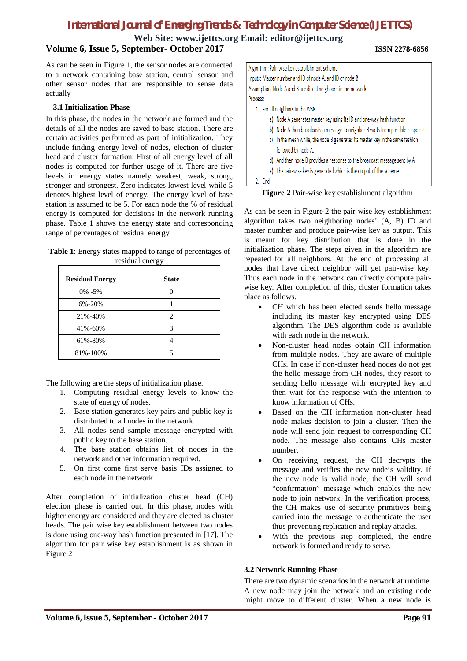# **Web Site: www.ijettcs.org Email: editor@ijettcs.org**

# **Volume 6, Issue 5, September- October 2017 ISSN 2278-6856**

As can be seen in Figure 1, the sensor nodes are connected to a network containing base station, central sensor and other sensor nodes that are responsible to sense data actually

#### **3.1 Initialization Phase**

In this phase, the nodes in the network are formed and the details of all the nodes are saved to base station. There are certain activities performed as part of initialization. They include finding energy level of nodes, election of cluster head and cluster formation. First of all energy level of all nodes is computed for further usage of it. There are five levels in energy states namely weakest, weak, strong, stronger and strongest. Zero indicates lowest level while 5 denotes highest level of energy. The energy level of base station is assumed to be 5. For each node the % of residual energy is computed for decisions in the network running phase. Table 1 shows the energy state and corresponding range of percentages of residual energy.

| <b>Table 1:</b> Energy states mapped to range of percentages of |
|-----------------------------------------------------------------|
| residual energy                                                 |

| <b>Residual Energy</b> | <b>State</b> |
|------------------------|--------------|
| $0\% - 5\%$            |              |
| 6%-20%                 |              |
| 21%-40%                | 2            |
| 41%-60%                | 3            |
| 61%-80%                |              |
| 81%-100%               |              |

The following are the steps of initialization phase.

- 1. Computing residual energy levels to know the state of energy of nodes.
- 2. Base station generates key pairs and public key is distributed to all nodes in the network.
- 3. All nodes send sample message encrypted with public key to the base station.
- 4. The base station obtains list of nodes in the network and other information required.
- 5. On first come first serve basis IDs assigned to each node in the network

After completion of initialization cluster head (CH) election phase is carried out. In this phase, nodes with higher energy are considered and they are elected as cluster heads. The pair wise key establishment between two nodes is done using one-way hash function presented in [17]. The algorithm for pair wise key establishment is as shown in Figure 2

| Algorithm: Pair-wise key establishment scheme                                     |  |  |  |  |
|-----------------------------------------------------------------------------------|--|--|--|--|
| Inputs: Master number and ID of node A, and ID of node B                          |  |  |  |  |
| Assumption: Node A and B are direct neighbors in the network                      |  |  |  |  |
| Process:                                                                          |  |  |  |  |
| 1. For all neighbors in the WSN                                                   |  |  |  |  |
| a) Node A generates master key using its ID and one-way hash function             |  |  |  |  |
| Node A then broadcasts a message to neighbor B waits from possible response<br>b) |  |  |  |  |
| In the mean while, the node B generates its master key in the same fashion<br>c)  |  |  |  |  |
| followed by node A.                                                               |  |  |  |  |
| d) And then node B provides a response to the broadcast message sent by A         |  |  |  |  |
| e) The pair-wise key is generated which is the output of the scheme               |  |  |  |  |
| 2. End                                                                            |  |  |  |  |

**Figure 2** Pair-wise key establishment algorithm

As can be seen in Figure 2 the pair-wise key establishment algorithm takes two neighboring nodes' (A, B) ID and master number and produce pair-wise key as output. This is meant for key distribution that is done in the initialization phase. The steps given in the algorithm are repeated for all neighbors. At the end of processing all nodes that have direct neighbor will get pair-wise key. Thus each node in the network can directly compute pairwise key. After completion of this, cluster formation takes place as follows.

- CH which has been elected sends hello message including its master key encrypted using DES algorithm. The DES algorithm code is available with each node in the network.
- Non-cluster head nodes obtain CH information from multiple nodes. They are aware of multiple CHs. In case if non-cluster head nodes do not get the hello message from CH nodes, they resort to sending hello message with encrypted key and then wait for the response with the intention to know information of CHs.
- Based on the CH information non-cluster head node makes decision to join a cluster. Then the node will send join request to corresponding CH node. The message also contains CHs master number.
- On receiving request, the CH decrypts the message and verifies the new node's validity. If the new node is valid node, the CH will send "confirmation" message which enables the new node to join network. In the verification process, the CH makes use of security primitives being carried into the message to authenticate the user thus preventing replication and replay attacks.
- With the previous step completed, the entire network is formed and ready to serve.

#### **3.2 Network Running Phase**

There are two dynamic scenarios in the network at runtime. A new node may join the network and an existing node might move to different cluster. When a new node is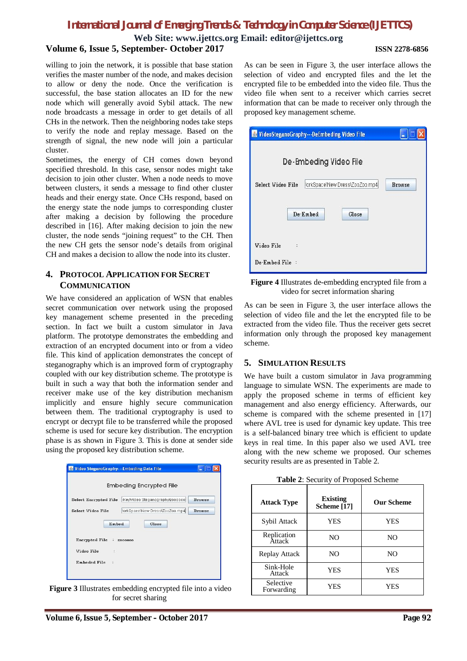#### **Web Site: www.ijettcs.org Email: editor@ijettcs.org Volume 6, Issue 5, September- October 2017 ISSN 2278-6856**

willing to join the network, it is possible that base station verifies the master number of the node, and makes decision to allow or deny the node. Once the verification is successful, the base station allocates an ID for the new node which will generally avoid Sybil attack. The new node broadcasts a message in order to get details of all CHs in the network. Then the neighboring nodes take steps to verify the node and replay message. Based on the strength of signal, the new node will join a particular cluster.

Sometimes, the energy of CH comes down beyond specified threshold. In this case, sensor nodes might take decision to join other cluster. When a node needs to move between clusters, it sends a message to find other cluster heads and their energy state. Once CHs respond, based on the energy state the node jumps to corresponding cluster after making a decision by following the procedure described in [16]. After making decision to join the new cluster, the node sends "joining request" to the CH. Then the new CH gets the sensor node's details from original CH and makes a decision to allow the node into its cluster.

## **4. PROTOCOL APPLICATION FOR SECRET COMMUNICATION**

We have considered an application of WSN that enables secret communication over network using the proposed key management scheme presented in the preceding section. In fact we built a custom simulator in Java platform. The prototype demonstrates the embedding and extraction of an encrypted document into or from a video file. This kind of application demonstrates the concept of steganography which is an improved form of cryptography coupled with our key distribution scheme. The prototype is built in such a way that both the information sender and receiver make use of the key distribution mechanism implicitly and ensure highly secure communication between them. The traditional cryptography is used to encrypt or decrypt file to be transferred while the proposed scheme is used for secure key distribution. The encryption phase is as shown in Figure 3. This is done at sender side using the proposed key distribution scheme.



**Figure 3** Illustrates embedding encrypted file into a video for secret sharing

As can be seen in Figure 3, the user interface allows the selection of video and encrypted files and the let the encrypted file to be embedded into the video file. Thus the video file when sent to a receiver which carries secret information that can be made to receiver only through the proposed key management scheme.

| VideoSteganoGraphy---DeEmbeding Video File<br>$\rightarrow$ |               |  |  |  |  |
|-------------------------------------------------------------|---------------|--|--|--|--|
| De-Embeding Video File                                      |               |  |  |  |  |
| /orkSpace\New Dress\ZooZoo.mp4<br><b>Select Video File</b>  | <b>Browse</b> |  |  |  |  |
| De-Embed<br>Close                                           |               |  |  |  |  |
| Video File                                                  |               |  |  |  |  |
| De Embed File:                                              |               |  |  |  |  |

**Figure 4** Illustrates de-embedding encrypted file from a video for secret information sharing

As can be seen in Figure 3, the user interface allows the selection of video file and the let the encrypted file to be extracted from the video file. Thus the receiver gets secret information only through the proposed key management scheme.

#### **5. SIMULATION RESULTS**

We have built a custom simulator in Java programming language to simulate WSN. The experiments are made to apply the proposed scheme in terms of efficient key management and also energy efficiency. Afterwards, our scheme is compared with the scheme presented in [17] where AVL tree is used for dynamic key update. This tree is a self-balanced binary tree which is efficient to update keys in real time. In this paper also we used AVL tree along with the new scheme we proposed. Our schemes security results are as presented in Table 2.

**Table 2**: Security of Proposed Scheme

| <b>Attack Type</b>      | <b>Existing</b><br>Scheme [17] | <b>Our Scheme</b> |
|-------------------------|--------------------------------|-------------------|
| Sybil Attack            | <b>YES</b>                     | YES               |
| Replication<br>Attack   | N <sub>O</sub>                 | N <sub>O</sub>    |
| Replay Attack           | N <sub>O</sub>                 | N <sub>O</sub>    |
| Sink-Hole<br>Attack     | <b>YES</b>                     | <b>YES</b>        |
| Selective<br>Forwarding | YES                            | YES               |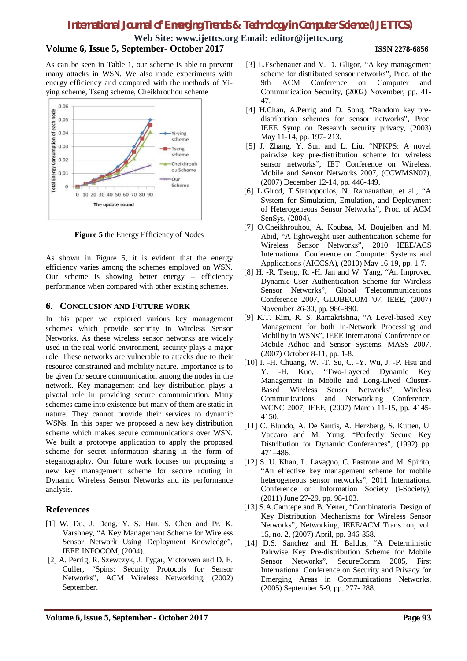**Web Site: www.ijettcs.org Email: editor@ijettcs.org**

#### **Volume 6, Issue 5, September- October 2017 ISSN 2278-6856**

As can be seen in Table 1, our scheme is able to prevent many attacks in WSN. We also made experiments with energy efficiency and compared with the methods of Yiying scheme, Tseng scheme, Cheikhrouhou scheme



**Figure 5** the Energy Efficiency of Nodes

As shown in Figure 5, it is evident that the energy efficiency varies among the schemes employed on WSN. Our scheme is showing better energy – efficiency performance when compared with other existing schemes.

#### **6. CONCLUSION AND FUTURE WORK**

In this paper we explored various key management schemes which provide security in Wireless Sensor Networks. As these wireless sensor networks are widely used in the real world environment, security plays a major role. These networks are vulnerable to attacks due to their resource constrained and mobility nature. Importance is to be given for secure communication among the nodes in the network. Key management and key distribution plays a pivotal role in providing secure communication. Many schemes came into existence but many of them are static in nature. They cannot provide their services to dynamic WSNs. In this paper we proposed a new key distribution scheme which makes secure communications over WSN. We built a prototype application to apply the proposed scheme for secret information sharing in the form of steganography. Our future work focuses on proposing a new key management scheme for secure routing in Dynamic Wireless Sensor Networks and its performance analysis.

#### **References**

- [1] W. Du, J. Deng, Y. S. Han, S. Chen and Pr. K. Varshney, "A Key Management Scheme for Wireless Sensor Network Using Deployment Knowledge", IEEE INFOCOM, (2004).
- [2] A. Perrig, R. Szewczyk, J. Tygar, Victorwen and D. E. Culler, "Spins: Security Protocols for Sensor Networks", ACM Wireless Networking, (2002) September.
- [3] L.Eschenauer and V. D. Gligor, "A key management scheme for distributed sensor networks", Proc. of the 9th ACM Conference on Computer and Communication Security, (2002) November, pp. 41- 47.
- [4] H.Chan, A.Perrig and D. Song, "Random key predistribution schemes for sensor networks", Proc. IEEE Symp on Research security privacy, (2003) May 11-14, pp. 197- 213.
- [5] J. Zhang, Y. Sun and L. Liu, "NPKPS: A novel pairwise key pre-distribution scheme for wireless sensor networks", IET Conference on Wireless, Mobile and Sensor Networks 2007, (CCWMSN07), (2007) December 12-14, pp. 446-449.
- [6] L.Girod, T.Stathopoulos, N. Ramanathan, et al., "A System for Simulation, Emulation, and Deployment of Heterogeneous Sensor Networks", Proc. of ACM SenSys, (2004).
- [7] O.Cheikhrouhou, A. Koubaa, M. Boujelben and M. Abid, "A lightweight user authentication scheme for Wireless Sensor Networks", 2010 IEEE/ACS International Conference on Computer Systems and Applications (AICCSA), (2010) May 16-19, pp. 1-7.
- [8] H. -R. Tseng, R. -H. Jan and W. Yang, "An Improved Dynamic User Authentication Scheme for Wireless Sensor Networks", Global Telecommunications Conference 2007, GLOBECOM '07. IEEE, (2007) November 26-30, pp. 986-990.
- [9] K.T. Kim, R. S. Ramakrishna, "A Level-based Key Management for both In-Network Processing and Mobility in WSNs", IEEE Internatonal Conference on Mobile Adhoc and Sensor Systems, MASS 2007, (2007) October 8-11, pp. 1-8.
- [10] I. -H. Chuang, W. -T. Su, C. -Y. Wu, J. -P. Hsu and -H. Kuo, "Two-Layered Dynamic Key Management in Mobile and Long-Lived Cluster-Based Wireless Sensor Networks", Wireless Communications and Networking Conference, WCNC 2007, IEEE, (2007) March 11-15, pp. 4145- 4150.
- [11] C. Blundo, A. De Santis, A. Herzberg, S. Kutten, U. Vaccaro and M. Yung, "Perfectly Secure Key Distribution for Dynamic Conferences", (1992) pp. 471–486.
- [12] S. U. Khan, L. Lavagno, C. Pastrone and M. Spirito, "An effective key management scheme for mobile heterogeneous sensor networks", 2011 International Conference on Information Society (i-Society), (2011) June 27-29, pp. 98-103.
- [13] S.A.Camtepe and B. Yener, "Combinatorial Design of Key Distribution Mechanisms for Wireless Sensor Networks", Networking, IEEE/ACM Trans. on, vol. 15, no. 2, (2007) April, pp. 346-358.
- [14] D.S. Sanchez and H. Baldus, "A Deterministic Pairwise Key Pre-distribution Scheme for Mobile Sensor Networks", SecureComm 2005, First International Conference on Security and Privacy for Emerging Areas in Communications Networks, (2005) September 5-9, pp. 277- 288.